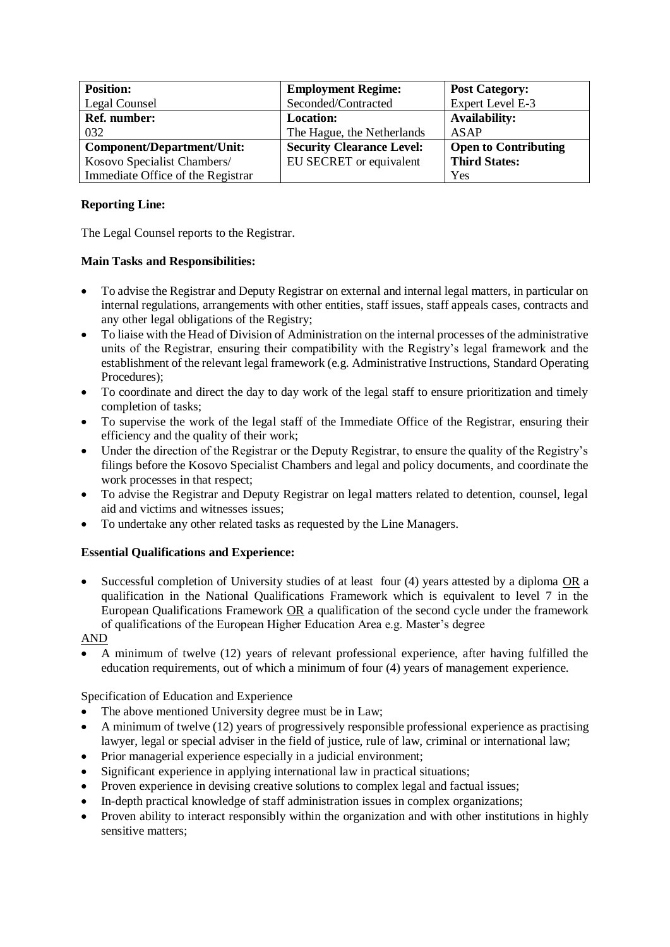| <b>Position:</b>                  | <b>Employment Regime:</b>        | <b>Post Category:</b>       |
|-----------------------------------|----------------------------------|-----------------------------|
| Legal Counsel                     | Seconded/Contracted              | Expert Level E-3            |
| Ref. number:                      | <b>Location:</b>                 | <b>Availability:</b>        |
| 032                               | The Hague, the Netherlands       | ASAP                        |
| <b>Component/Department/Unit:</b> | <b>Security Clearance Level:</b> | <b>Open to Contributing</b> |
| Kosovo Specialist Chambers/       | EU SECRET or equivalent          | <b>Third States:</b>        |
| Immediate Office of the Registrar |                                  | Yes                         |

## **Reporting Line:**

The Legal Counsel reports to the Registrar.

## **Main Tasks and Responsibilities:**

- To advise the Registrar and Deputy Registrar on external and internal legal matters, in particular on internal regulations, arrangements with other entities, staff issues, staff appeals cases, contracts and any other legal obligations of the Registry;
- To liaise with the Head of Division of Administration on the internal processes of the administrative units of the Registrar, ensuring their compatibility with the Registry's legal framework and the establishment of the relevant legal framework (e.g. Administrative Instructions, Standard Operating Procedures);
- To coordinate and direct the day to day work of the legal staff to ensure prioritization and timely completion of tasks;
- To supervise the work of the legal staff of the Immediate Office of the Registrar, ensuring their efficiency and the quality of their work;
- Under the direction of the Registrar or the Deputy Registrar, to ensure the quality of the Registry's filings before the Kosovo Specialist Chambers and legal and policy documents, and coordinate the work processes in that respect;
- To advise the Registrar and Deputy Registrar on legal matters related to detention, counsel, legal aid and victims and witnesses issues;
- To undertake any other related tasks as requested by the Line Managers.

## **Essential Qualifications and Experience:**

Successful completion of University studies of at least four (4) years attested by a diploma OR a qualification in the National Qualifications Framework which is equivalent to level 7 in the European Qualifications Framework OR a qualification of the second cycle under the framework of qualifications of the European Higher Education Area e.g. Master's degree

AND

• A minimum of twelve (12) years of relevant professional experience, after having fulfilled the education requirements, out of which a minimum of four (4) years of management experience.

Specification of Education and Experience

- The above mentioned University degree must be in Law;
- A minimum of twelve (12) years of progressively responsible professional experience as practising lawyer, legal or special adviser in the field of justice, rule of law, criminal or international law;
- Prior managerial experience especially in a judicial environment;
- Significant experience in applying international law in practical situations:
- Proven experience in devising creative solutions to complex legal and factual issues;
- In-depth practical knowledge of staff administration issues in complex organizations;
- Proven ability to interact responsibly within the organization and with other institutions in highly sensitive matters: